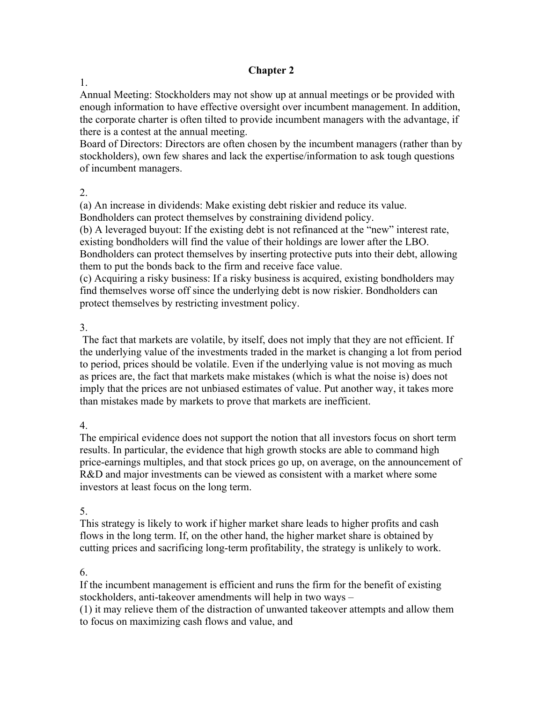### **Chapter 2**

1.

Annual Meeting: Stockholders may not show up at annual meetings or be provided with enough information to have effective oversight over incumbent management. In addition, the corporate charter is often tilted to provide incumbent managers with the advantage, if there is a contest at the annual meeting.

Board of Directors: Directors are often chosen by the incumbent managers (rather than by stockholders), own few shares and lack the expertise/information to ask tough questions of incumbent managers.

#### 2.

(a) An increase in dividends: Make existing debt riskier and reduce its value. Bondholders can protect themselves by constraining dividend policy.

(b) A leveraged buyout: If the existing debt is not refinanced at the "new" interest rate, existing bondholders will find the value of their holdings are lower after the LBO. Bondholders can protect themselves by inserting protective puts into their debt, allowing

them to put the bonds back to the firm and receive face value.

(c) Acquiring a risky business: If a risky business is acquired, existing bondholders may find themselves worse off since the underlying debt is now riskier. Bondholders can protect themselves by restricting investment policy.

## 3.

 The fact that markets are volatile, by itself, does not imply that they are not efficient. If the underlying value of the investments traded in the market is changing a lot from period to period, prices should be volatile. Even if the underlying value is not moving as much as prices are, the fact that markets make mistakes (which is what the noise is) does not imply that the prices are not unbiased estimates of value. Put another way, it takes more than mistakes made by markets to prove that markets are inefficient.

## 4.

The empirical evidence does not support the notion that all investors focus on short term results. In particular, the evidence that high growth stocks are able to command high price-earnings multiples, and that stock prices go up, on average, on the announcement of R&D and major investments can be viewed as consistent with a market where some investors at least focus on the long term.

## 5.

This strategy is likely to work if higher market share leads to higher profits and cash flows in the long term. If, on the other hand, the higher market share is obtained by cutting prices and sacrificing long-term profitability, the strategy is unlikely to work.

## 6.

If the incumbent management is efficient and runs the firm for the benefit of existing stockholders, anti-takeover amendments will help in two ways –

(1) it may relieve them of the distraction of unwanted takeover attempts and allow them to focus on maximizing cash flows and value, and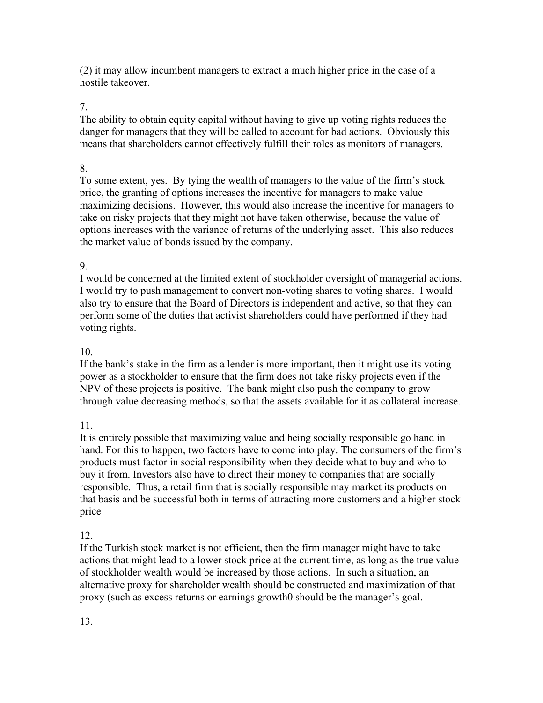(2) it may allow incumbent managers to extract a much higher price in the case of a hostile takeover.

### 7.

The ability to obtain equity capital without having to give up voting rights reduces the danger for managers that they will be called to account for bad actions. Obviously this means that shareholders cannot effectively fulfill their roles as monitors of managers.

### 8.

To some extent, yes. By tying the wealth of managers to the value of the firm's stock price, the granting of options increases the incentive for managers to make value maximizing decisions. However, this would also increase the incentive for managers to take on risky projects that they might not have taken otherwise, because the value of options increases with the variance of returns of the underlying asset. This also reduces the market value of bonds issued by the company.

### 9.

I would be concerned at the limited extent of stockholder oversight of managerial actions. I would try to push management to convert non-voting shares to voting shares. I would also try to ensure that the Board of Directors is independent and active, so that they can perform some of the duties that activist shareholders could have performed if they had voting rights.

# 10.

If the bank's stake in the firm as a lender is more important, then it might use its voting power as a stockholder to ensure that the firm does not take risky projects even if the NPV of these projects is positive. The bank might also push the company to grow through value decreasing methods, so that the assets available for it as collateral increase.

11.

It is entirely possible that maximizing value and being socially responsible go hand in hand. For this to happen, two factors have to come into play. The consumers of the firm's products must factor in social responsibility when they decide what to buy and who to buy it from. Investors also have to direct their money to companies that are socially responsible. Thus, a retail firm that is socially responsible may market its products on that basis and be successful both in terms of attracting more customers and a higher stock price

## 12.

If the Turkish stock market is not efficient, then the firm manager might have to take actions that might lead to a lower stock price at the current time, as long as the true value of stockholder wealth would be increased by those actions. In such a situation, an alternative proxy for shareholder wealth should be constructed and maximization of that proxy (such as excess returns or earnings growth0 should be the manager's goal.